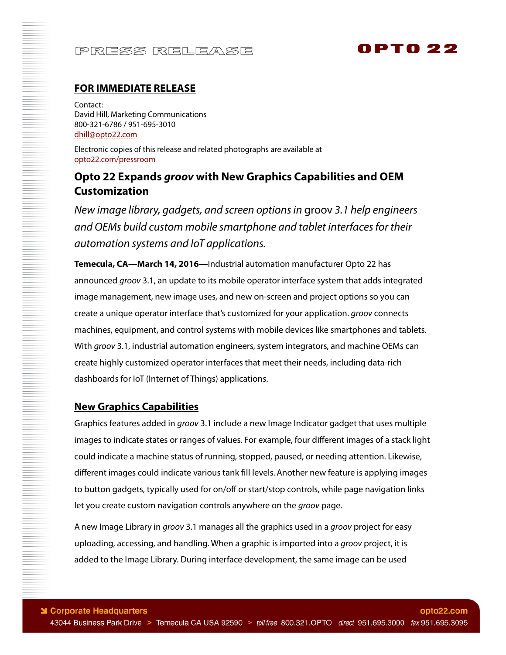# 0 PT 0 22

### **FOR IMMEDIATE RELEASE**

Contact: David Hill, Marketing Communications 800-321-6786 / 951-695-3010 dhill@opto22.com

Electronic copies of this release and related photographs are available at opto22.com/pressroom

## **Opto 22 Expands groov with New Graphics Capabilities and OEM Customization**

New image library, gadgets, and screen options in groov 3.1 help engineers and OEMs build custom mobile smartphone and tablet interfaces for their automation systems and IoT applications.

**Temecula, CA—March 14, 2016—**Industrial automation manufacturer Opto 22 has announced groov 3.1, an update to its mobile operator interface system that adds integrated image management, new image uses, and new on-screen and project options so you can create a unique operator interface that's customized for your application. groov connects machines, equipment, and control systems with mobile devices like smartphones and tablets. With groov 3.1, industrial automation engineers, system integrators, and machine OEMs can create highly customized operator interfaces that meet their needs, including data-rich dashboards for IoT (Internet of Things) applications.

#### **New Graphics Capabilities**

Graphics features added in *groov* 3.1 include a new Image Indicator gadget that uses multiple images to indicate states or ranges of values. For example, four different images of a stack light could indicate a machine status of running, stopped, paused, or needing attention. Likewise, different images could indicate various tank fill levels. Another new feature is applying images to button gadgets, typically used for on/off or start/stop controls, while page navigation links let you create custom navigation controls anywhere on the groov page.

A new Image Library in *groov* 3.1 manages all the graphics used in a *groov* project for easy uploading, accessing, and handling. When a graphic is imported into a *groov* project, it is added to the Image Library. During interface development, the same image can be used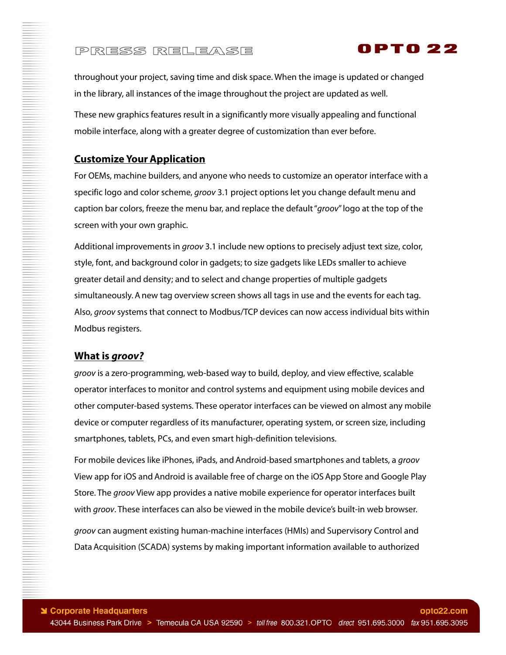throughout your project, saving time and disk space. When the image is updated or changed in the library, all instances of the image throughout the project are updated as well.

0 PTO 22

These new graphics features result in a significantly more visually appealing and functional mobile interface, along with a greater degree of customization than ever before.

### **Customize Your Application**

For OEMs, machine builders, and anyone who needs to customize an operator interface with a specific logo and color scheme, *groov* 3.1 project options let you change default menu and caption bar colors, freeze the menu bar, and replace the default "groov" logo at the top of the screen with your own graphic.

Additional improvements in *groov* 3.1 include new options to precisely adjust text size, color, style, font, and background color in gadgets; to size gadgets like LEDs smaller to achieve greater detail and density; and to select and change properties of multiple gadgets simultaneously. A new tag overview screen shows all tags in use and the events for each tag. Also, groov systems that connect to Modbus/TCP devices can now access individual bits within Modbus registers.

### **What is groov?**

groov is a zero-programming, web-based way to build, deploy, and view effective, scalable operator interfaces to monitor and control systems and equipment using mobile devices and other computer-based systems. These operator interfaces can be viewed on almost any mobile device or computer regardless of its manufacturer, operating system, or screen size, including smartphones, tablets, PCs, and even smart high-definition televisions.

For mobile devices like iPhones, iPads, and Android-based smartphones and tablets, a *groov* View app for iOS and Android is available free of charge on the iOS App Store and Google Play Store. The groov View app provides a native mobile experience for operator interfaces built with groov. These interfaces can also be viewed in the mobile device's built-in web browser. groov can augment existing human-machine interfaces (HMIs) and Supervisory Control and Data Acquisition (SCADA) systems by making important information available to authorized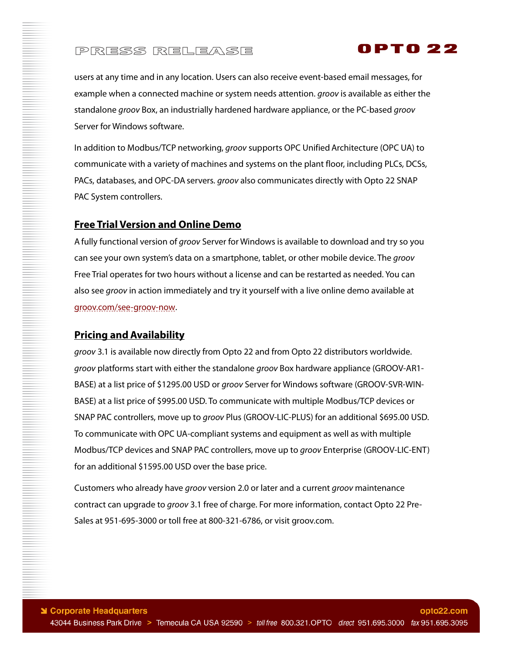

users at any time and in any location. Users can also receive event-based email messages, for example when a connected machine or system needs attention. *groov* is available as either the standalone *groov* Box, an industrially hardened hardware appliance, or the PC-based *groov* Server for Windows software.

In addition to Modbus/TCP networking, groov supports OPC Unified Architecture (OPC UA) to communicate with a variety of machines and systems on the plant floor, including PLCs, DCSs, PACs, databases, and OPC-DA servers. groov also communicates directly with Opto 22 SNAP PAC System controllers.

#### **Free Trial Version and Online Demo**

A fully functional version of groov Server for Windows is available to download and try so you can see your own system's data on a smartphone, tablet, or other mobile device. The groov Free Trial operates for two hours without a license and can be restarted as needed. You can also see groov in action immediately and try it yourself with a live online demo available at groov.com/see-groov-now.

#### **Pricing and Availability**

groov 3.1 is available now directly from Opto 22 and from Opto 22 distributors worldwide. groov platforms start with either the standalone groov Box hardware appliance (GROOV-AR1-BASE) at a list price of \$1295.00 USD or groov Server for Windows software (GROOV-SVR-WIN-BASE) at a list price of \$995.00 USD. To communicate with multiple Modbus/TCP devices or SNAP PAC controllers, move up to groov Plus (GROOV-LIC-PLUS) for an additional \$695.00 USD. To communicate with OPC UA-compliant systems and equipment as well as with multiple Modbus/TCP devices and SNAP PAC controllers, move up to groov Enterprise (GROOV-LIC-ENT) for an additional \$1595.00 USD over the base price.

Customers who already have *groov* version 2.0 or later and a current *groov* maintenance contract can upgrade to groov 3.1 free of charge. For more information, contact Opto 22 Pre-Sales at 951-695-3000 or toll free at 800-321-6786, or visit groov.com.